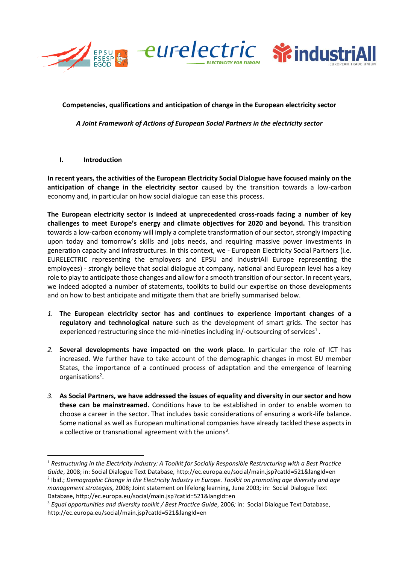





# **Competencies, qualifications and anticipation of change in the European electricity sector**

*A Joint Framework of Actions of European Social Partners in the electricity sector*

### **I. Introduction**

1

**In recent years, the activities of the European Electricity Social Dialogue have focused mainly on the anticipation of change in the electricity sector** caused by the transition towards a low-carbon economy and, in particular on how social dialogue can ease this process.

**The European electricity sector is indeed at unprecedented cross-roads facing a number of key challenges to meet Europe's energy and climate objectives for 2020 and beyond.** This transition towards a low-carbon economy will imply a complete transformation of our sector, strongly impacting upon today and tomorrow's skills and jobs needs, and requiring massive power investments in generation capacity and infrastructures. In this context, we - European Electricity Social Partners (i.e. EURELECTRIC representing the employers and EPSU and industriAll Europe representing the employees) - strongly believe that social dialogue at company, national and European level has a key role to play to anticipate those changes and allow for a smooth transition of our sector. In recent years, we indeed adopted a number of statements, toolkits to build our expertise on those developments and on how to best anticipate and mitigate them that are briefly summarised below.

- *1.* **The European electricity sector has and continues to experience important changes of a regulatory and technological nature** such as the development of smart grids. The sector has experienced restructuring since the mid-nineties including in/-outsourcing of services<sup>1</sup>.
- *2.* **Several developments have impacted on the work place.** In particular the role of ICT has increased. We further have to take account of the demographic changes in most EU member States, the importance of a continued process of adaptation and the emergence of learning organisations<sup>2</sup>.
- *3.* **As Social Partners, we have addressed the issues of equality and diversity in our sector and how these can be mainstreamed.** Conditions have to be established in order to enable women to choose a career in the sector. That includes basic considerations of ensuring a work-life balance. Some national as well as European multinational companies have already tackled these aspects in a collective or transnational agreement with the unions<sup>3</sup>.

<sup>1</sup> *Restructuring in the Electricity Industry: A Toolkit for Socially Responsible Restructuring with a Best Practice Guide*, 2008; in: Social Dialogue Text Database, http://ec.europa.eu/social/main.jsp?catId=521&langId=en 2 Ibid.; *Demographic Change in the Electricity Industry in Europe. Toolkit on promoting age diversity and age management strategies*, 2008; Joint statement on lifelong learning, June 2003*;* in: Social Dialogue Text Database, http://ec.europa.eu/social/main.jsp?catId=521&langId=en

<sup>3</sup> *Equal opportunities and diversity toolkit / Best Practice Guide*, 2006*;* in: Social Dialogue Text Database, http://ec.europa.eu/social/main.jsp?catId=521&langId=en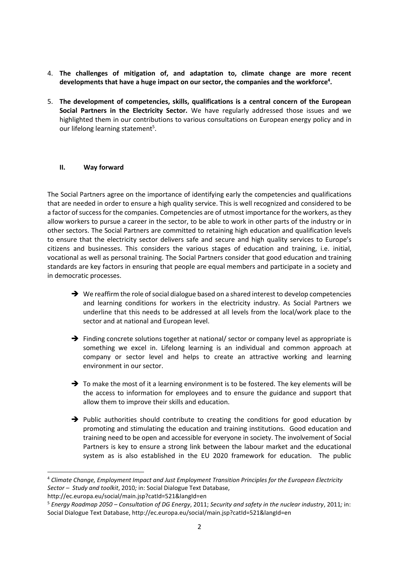- 4. **The challenges of mitigation of, and adaptation to, climate change are more recent developments that have a huge impact on our sector, the companies and the workforce<sup>4</sup> .**
- 5. **The development of competencies, skills, qualifications is a central concern of the European Social Partners in the Electricity Sector.** We have regularly addressed those issues and we highlighted them in our contributions to various consultations on European energy policy and in our lifelong learning statement<sup>5</sup>.

### **II. Way forward**

The Social Partners agree on the importance of identifying early the competencies and qualifications that are needed in order to ensure a high quality service. This is well recognized and considered to be a factor of success for the companies. Competencies are of utmost importance for the workers, as they allow workers to pursue a career in the sector, to be able to work in other parts of the industry or in other sectors. The Social Partners are committed to retaining high education and qualification levels to ensure that the electricity sector delivers safe and secure and high quality services to Europe's citizens and businesses. This considers the various stages of education and training, i.e. initial, vocational as well as personal training. The Social Partners consider that good education and training standards are key factors in ensuring that people are equal members and participate in a society and in democratic processes.

- $\rightarrow$  We reaffirm the role of social dialogue based on a shared interest to develop competencies and learning conditions for workers in the electricity industry. As Social Partners we underline that this needs to be addressed at all levels from the local/work place to the sector and at national and European level.
- $\rightarrow$  Finding concrete solutions together at national/ sector or company level as appropriate is something we excel in. Lifelong learning is an individual and common approach at company or sector level and helps to create an attractive working and learning environment in our sector.
- $\rightarrow$  To make the most of it a learning environment is to be fostered. The key elements will be the access to information for employees and to ensure the guidance and support that allow them to improve their skills and education.
- $\rightarrow$  Public authorities should contribute to creating the conditions for good education by promoting and stimulating the education and training institutions. Good education and training need to be open and accessible for everyone in society. The involvement of Social Partners is key to ensure a strong link between the labour market and the educational system as is also established in the EU 2020 framework for education. The public

**.** 

<sup>4</sup> *Climate Change, Employment Impact and Just Employment Transition Principles for the European Electricity Sector – Study and toolkit*, 2010*;* in: Social Dialogue Text Database,

http://ec.europa.eu/social/main.jsp?catId=521&langId=en

<sup>5</sup> *Energy Roadmap 2050 – Consultation of DG Energy*, 2011; *Security and safety in the nuclear industry*, 2011*;* in: Social Dialogue Text Database, http://ec.europa.eu/social/main.jsp?catId=521&langId=en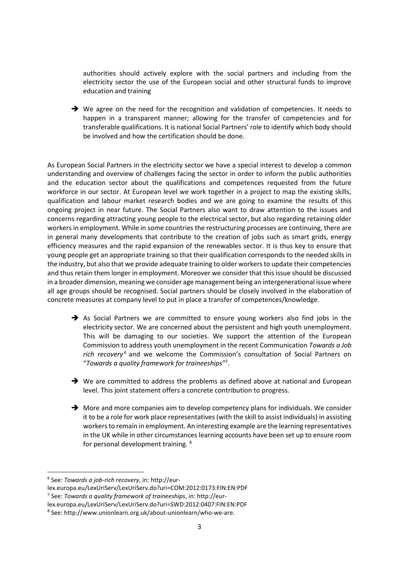authorities should actively explore with the social partners and including from the electricity sector the use of the European social and other structural funds to improve education and training

 $\rightarrow$  We agree on the need for the recognition and validation of competencies. It needs to happen in a transparent manner; allowing for the transfer of competencies and for transferable qualifications. It is national Social Partners' role to identify which body should be involved and how the certification should be done.

As European Social Partners in the electricity sector we have a special interest to develop a common understanding and overview of challenges facing the sector in order to inform the public authorities and the education sector about the qualifications and competences requested from the future workforce in our sector. At European level we work together in a project to map the existing skills, qualification and labour market research bodies and we are going to examine the results of this ongoing project in near future. The Social Partners also want to draw attention to the issues and concerns regarding attracting young people to the electrical sector, but also regarding retaining older workers in employment. While in some countries the restructuring processes are continuing, there are in general many developments that contribute to the creation of jobs such as smart grids, energy efficiency measures and the rapid expansion of the renewables sector. It is thus key to ensure that young people get an appropriate training so that their qualification corresponds to the needed skills in the industry, but also that we provide adequate training to older workers to update their competencies and thus retain them longer in employment. Moreover we consider that this issue should be discussed in a broader dimension, meaning we consider age management being an intergenerational issue where all age groups should be recognised. Social partners should be closely involved in the elaboration of concrete measures at company level to put in place a transfer of competences/knowledge.

- As Social Partners we are committed to ensure young workers also find jobs in the electricity sector. We are concerned about the persistent and high youth unemployment. This will be damaging to our societies. We support the attention of the European Commission to address youth unemployment in the recent Communication *Towards a Job rich recovery*<sup>6</sup> and we welcome the Commission's consultation of Social Partners on "*Towards a quality framework for traineeships"*<sup>7</sup> .
- $\rightarrow$  We are committed to address the problems as defined above at national and European level. This joint statement offers a concrete contribution to progress.
- $\rightarrow$  More and more companies aim to develop competency plans for individuals. We consider it to be a role for work place representatives (with the skill to assist individuals) in assisting workers to remain in employment. An interesting example are the learning representatives in the UK while in other circumstances learning accounts have been set up to ensure room for personal development training. <sup>8</sup>

**.** 

<sup>6</sup> See: *Towards a job-rich recovery*, in: http://eur-

lex.europa.eu/LexUriServ/LexUriServ.do?uri=COM:2012:0173:FIN:EN:PDF

<sup>7</sup> See: *Towards a quality framework of traineeships*, in: http://eur-

lex.europa.eu/LexUriServ/LexUriServ.do?uri=SWD:2012:0407:FIN:EN:PDF

<sup>8</sup> See: http://www.unionlearn.org.uk/about-unionlearn/who-we-are.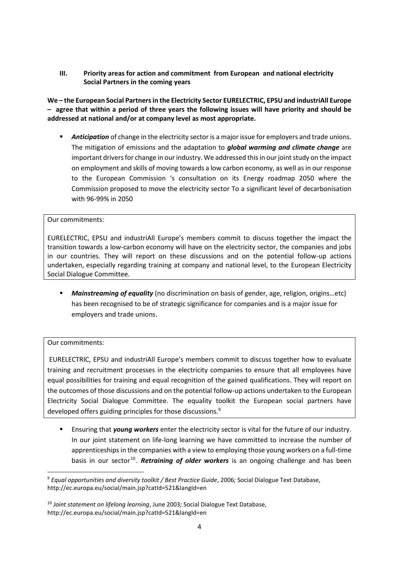**III. Priority areas for action and commitment from European and national electricity Social Partners in the coming years**

**We – the European Social Partnersin the Electricity Sector EURELECTRIC, EPSU and industriAll Europe – agree that within a period of three years the following issues will have priority and should be addressed at national and/or at company level as most appropriate.** 

 *Anticipation* of change in the electricity sector is a major issue for employers and trade unions. The mitigation of emissions and the adaptation to *global warming and climate change* are important drivers for change in our industry. We addressed this in our joint study on the impact on employment and skills of moving towards a low carbon economy, as well as in our response to the European Commission 's consultation on its Energy roadmap 2050 where the Commission proposed to move the electricity sector To a significant level of decarbonisation with 96-99% in 2050

# Our commitments:

EURELECTRIC, EPSU and industriAll Europe's members commit to discuss together the impact the transition towards a low-carbon economy will have on the electricity sector, the companies and jobs in our countries. They will report on these discussions and on the potential follow-up actions undertaken, especially regarding training at company and national level, to the European Electricity Social Dialogue Committee.

 *Mainstreaming of equality* (no discrimination on basis of gender, age, religion, origins…etc) has been recognised to be of strategic significance for companies and is a major issue for employers and trade unions.

### Our commitments:

**.** 

EURELECTRIC, EPSU and industriAll Europe's members commit to discuss together how to evaluate training and recruitment processes in the electricity companies to ensure that all employees have equal possibilities for training and equal recognition of the gained qualifications. They will report on the outcomes of those discussions and on the potential follow-up actions undertaken to the European Electricity Social Dialogue Committee. The equality toolkit the European social partners have developed offers guiding principles for those discussions.<sup>9</sup>

 Ensuring that *young workers* enter the electricity sector is vital for the future of our industry. In our joint statement on life-long learning we have committed to increase the number of apprenticeships in the companies with a view to employing those young workers on a full-time basis in our sector<sup>10</sup>. Retraining of older workers is an ongoing challenge and has been

<sup>9</sup> *Equal opportunities and diversity toolkit / Best Practice Guide*, 2006*;* Social Dialogue Text Database, http://ec.europa.eu/social/main.jsp?catId=521&langId=en

<sup>10</sup> *Joint statement on lifelong learning*, June 2003*;* Social Dialogue Text Database, http://ec.europa.eu/social/main.jsp?catId=521&langId=en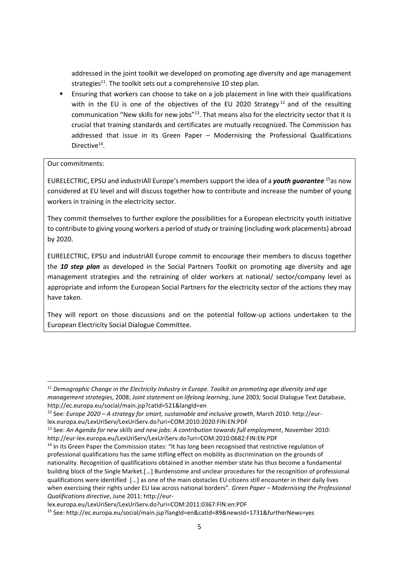addressed in the joint toolkit we developed on promoting age diversity and age management strategies<sup>11</sup>. The toolkit sets out a comprehensive 10 step plan.

 Ensuring that workers can choose to take on a job placement in line with their qualifications with in the EU is one of the objectives of the EU 2020 Strategy<sup>12</sup> and of the resulting communication "New skills for new jobs" $^{13}$ . That means also for the electricity sector that it is crucial that training standards and certificates are mutually recognized. The Commission has addressed that issue in its Green Paper – Modernising the Professional Qualifications Directive<sup>14</sup>.

# Our commitments:

 $\overline{\phantom{a}}$ 

EURELECTRIC, EPSU and industriAll Europe's members support the idea of a *youth guarantee* <sup>15</sup>as now considered at EU level and will discuss together how to contribute and increase the number of young workers in training in the electricity sector.

They commit themselves to further explore the possibilities for a European electricity youth initiative to contribute to giving young workers a period of study or training (including work placements) abroad by 2020.

EURELECTRIC, EPSU and industriAll Europe commit to encourage their members to discuss together the *10 step plan* as developed in the Social Partners Toolkit on promoting age diversity and age management strategies and the retraining of older workers at national/ sector/company level as appropriate and inform the European Social Partners for the electricity sector of the actions they may have taken.

They will report on those discussions and on the potential follow-up actions undertaken to the European Electricity Social Dialogue Committee.

<sup>11</sup> *Demographic Change in the Electricity Industry in Europe. Toolkit on promoting age diversity and age management strategies*, 2008; *Joint statement on lifelong learning*, June 2003*;* Social Dialogue Text Database, http://ec.europa.eu/social/main.jsp?catId=521&langId=en

<sup>12</sup> See: *Europe 2020 – A strategy for smart, sustainable and inclusive growth*, March 2010: http://eurlex.europa.eu/LexUriServ/LexUriServ.do?uri=COM:2010:2020:FIN:EN:PDF

<sup>13</sup> See: *An Agenda for new skills and new jobs: A contribution towards full employment*, November 2010: http://eur-lex.europa.eu/LexUriServ/LexUriServ.do?uri=COM:2010:0682:FIN:EN:PDF

<sup>&</sup>lt;sup>14</sup> In its Green Paper the Commission states: "It has long been recognised that restrictive regulation of professional qualifications has the same stifling effect on mobility as discrimination on the grounds of nationality. Recognition of qualifications obtained in another member state has thus become a fundamental building block of the Single Market.[...] Burdensome and unclear procedures for the recognition of professional qualifications were identified [...] as one of the main obstacles EU citizens still encounter in their daily lives when exercising their rights under EU law across national borders". *Green Paper – Modernising the Professional Qualifications directive*, June 2011: http://eur-

lex.europa.eu/LexUriServ/LexUriServ.do?uri=COM:2011:0367:FIN:en:PDF

<sup>15</sup> See: http://ec.europa.eu/social/main.jsp?langId=en&catId=89&newsId=1731&furtherNews=yes